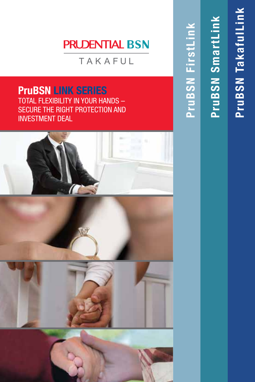# **PRUDENTIAL BSN**

TAKAFUL

**PruBSN LINK SERIES** TOTAL FLEXIBILITY IN YOUR HANDS – SECURE THE RIGHT PROTECTION AND INVESTMENT DEAL





PruBSN TakafulLink **PruBSN TakafulLink**

**PruBSN SmartLink**

PruBSN SmartLink

**PruBSN FirstLink**

PruBSN FirstLink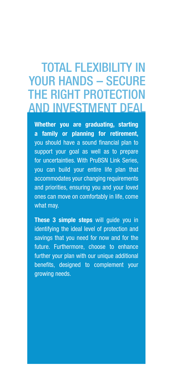# TOTAL FLEXIBILITY IN YOUR HANDS - SECURE THE RIGHT PROTECTION AND INVESTMENT DEAL

**Whether you are graduating, starting a family or planning for retirement,** you should have a sound financial plan to support your goal as well as to prepare for uncertainties. With PruBSN Link Series, you can build your entire life plan that accommodates your changing requirements and priorities, ensuring you and your loved ones can move on comfortably in life, come what may.

**These 3 simple steps** will guide you in identifying the ideal level of protection and savings that you need for now and for the future. Furthermore, choose to enhance further your plan with our unique additional benefits, designed to complement your growing needs.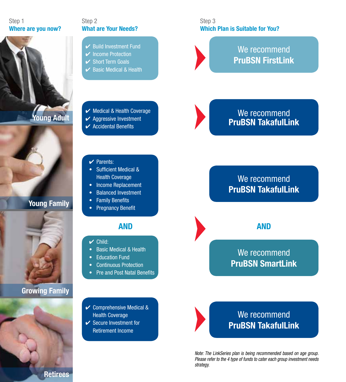#### Step 1 **Where are you now?**





## **Young Family**



## **Growing Family**



Step 2 **What are Your Needs?**

- $\vee$  Build Investment Fund
- ✔ Income Protection
- **✓** Short Term Goals
- $\vee$  Basic Medical & Health

#### Step 3 **Which Plan is Suitable for You?**



## We recommend **PruBSN FirstLink**

✔ Medical & Health Coverage

- $\vee$  Aggressive Investment
- $\vee$  Accidental Benefits

## We recommend **PruBSN TakafulLink**

- ✔ Parents:
- Sufficient Medical & Health Coverage
- Income Replacement
- Balanced Investment
- Family Benefits
- Pregnancy Benefit

## **AND AND**

- $\vee$  Child:
- Basic Medical & Health
- Education Fund
- Continuous Protection
- Pre and Post Natal Benefits
- ✔ Comprehensive Medical & Health Coverage
- ✔ Secure Investment for Retirement Income

## We recommend **PruBSN TakafulLink**

## We recommend **PruBSN SmartLink**



*Note: The LinkSeries plan is being recommended based on age group. Please refer to the 4 type of funds to cater each group investment needs strategy.*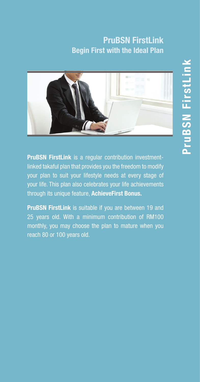## **PruBSN FirstLink Begin First with the Ideal Plan**



**PruBSN FirstLink** is a regular contribution investmentlinked takaful plan that provides you the freedom to modify your plan to suit your lifestyle needs at every stage of your life. This plan also celebrates your life achievements through its unique feature, **AchieveFirst Bonus.**

**PruBSN FirstLink** is suitable if you are between 19 and 25 years old. With a minimum contribution of RM100 monthly, you may choose the plan to mature when you reach 80 or 100 years old.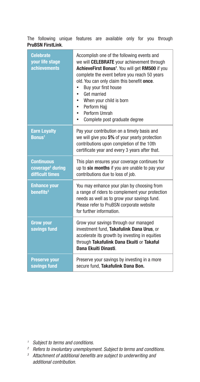The following unique features are available only for you through **PruBSN FirstLink**.

| <b>Celebrate</b><br>your life stage<br><b>achievements</b>           | Accomplish one of the following events and<br>we will <b>CELEBRATE</b> your achievement through<br>AchieveFirst Bonus <sup>1</sup> . You will get RM500 if you<br>complete the event before you reach 50 years<br>old. You can only claim this benefit once.<br>Buy your first house<br>Get married<br>When your child is born<br>Perform Hajj<br>Perform Umrah<br>Complete post graduate degree |
|----------------------------------------------------------------------|--------------------------------------------------------------------------------------------------------------------------------------------------------------------------------------------------------------------------------------------------------------------------------------------------------------------------------------------------------------------------------------------------|
| <b>Earn Loyalty</b><br>Bonus <sup>1</sup>                            | Pay your contribution on a timely basis and<br>we will give you 5% of your yearly protection<br>contributions upon completion of the 10th<br>certificate year and every 3 years after that.                                                                                                                                                                                                      |
| <b>Continuous</b><br>coverage <sup>2</sup> during<br>difficult times | This plan ensures your coverage continues for<br>up to six months if you are unable to pay your<br>contributions due to loss of job.                                                                                                                                                                                                                                                             |
| <b>Enhance your</b><br>benefits <sup>3</sup>                         | You may enhance your plan by choosing from<br>a range of riders to complement your protection<br>needs as well as to grow your savings fund.<br>Please refer to PruBSN corporate website<br>for further information.                                                                                                                                                                             |
| <b>Grow your</b><br>savings fund                                     | Grow your savings through our managed<br>investment fund, Takafulink Dana Urus, or<br>accelerate its growth by investing in equities<br>through Takafulink Dana Ekuiti or Takaful<br>Dana Ekuiti Dinasti.                                                                                                                                                                                        |
| <b>Preserve your</b><br>savings fund                                 | Preserve your savings by investing in a more<br>secure fund, Takafulink Dana Bon.                                                                                                                                                                                                                                                                                                                |

- 
- *<sup>1</sup> Subject to terms and conditions.*
- <sup>3</sup> Attachment of additional benefits are subject to underwriting and *additional contribution.*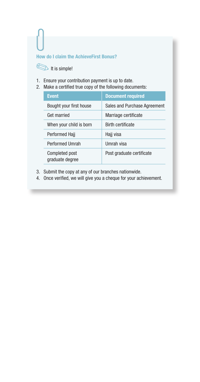#### **How do I claim the AchieveFirst Bonus?**

It is simple!

- 1. Ensure your contribution payment is up to date.
- 2. Make a certified true copy of the following documents:

| <b>Event</b>                      | <b>Document required</b>     |
|-----------------------------------|------------------------------|
| Bought your first house           | Sales and Purchase Agreement |
| Get married                       | Marriage certificate         |
| When your child is born           | <b>Birth certificate</b>     |
| Performed Hajj                    | Hajj visa                    |
| <b>Performed Umrah</b>            | Umrah visa                   |
| Completed post<br>graduate degree | Post graduate certificate    |

- 3. Submit the copy at any of our branches nationwide.
- 4. Once verified, we will give you a cheque for your achievement.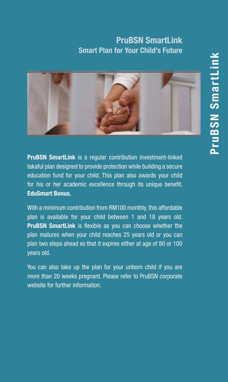## **PruBSN SmartLink Smart Plan for Your Child's Future**



**PruBSN SmartLink** is a regular contribution investment-linked takaful plan designed to provide protection while building a secure education fund for your child. This plan also awards your child for his or her academic excellence through its unique benefit, **EduSmart Bonus.**

With a minimum contribution from RM100 monthly, this affordable plan is available for your child between 1 and 18 years old. **PruBSN SmartLink** is flexible as you can choose whether the plan matures when your child reaches 25 years old or you can plan two steps ahead so that it expires either at age of 80 or 100 years old.

You can also take up the plan for your unborn child if you are more than 20 weeks pregnant. Please refer to PruBSN corporate website for further information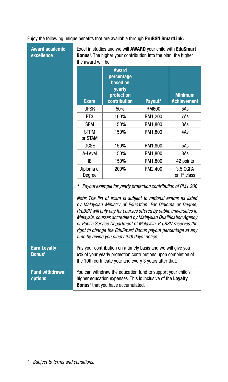#### Enjoy the following unique benefits that are available through **PruBSN SmartLink.**

| <b>Award academic</b><br>excellence             | Excel in studies and we will AWARD your child with EduSmart<br><b>Bonus</b> <sup>1</sup> . The higher your contribution into the plan, the higher<br>the award will be.                                                                                                                                                                                                                                                                                                                                             |                                                                                |         |                                      |  |
|-------------------------------------------------|---------------------------------------------------------------------------------------------------------------------------------------------------------------------------------------------------------------------------------------------------------------------------------------------------------------------------------------------------------------------------------------------------------------------------------------------------------------------------------------------------------------------|--------------------------------------------------------------------------------|---------|--------------------------------------|--|
|                                                 | <b>Exam</b>                                                                                                                                                                                                                                                                                                                                                                                                                                                                                                         | <b>Award</b><br>percentage<br>based on<br>yearly<br>protection<br>contribution | Payout* |                                      |  |
|                                                 | <b>UPSR</b>                                                                                                                                                                                                                                                                                                                                                                                                                                                                                                         | 50%                                                                            | RM600   | 5As                                  |  |
|                                                 | PT <sub>3</sub>                                                                                                                                                                                                                                                                                                                                                                                                                                                                                                     | 100%                                                                           | RM1,200 | 7As                                  |  |
|                                                 | <b>SPM</b>                                                                                                                                                                                                                                                                                                                                                                                                                                                                                                          | 150%                                                                           | RM1,800 | 8As                                  |  |
|                                                 | <b>STPM</b><br>or STAM                                                                                                                                                                                                                                                                                                                                                                                                                                                                                              | 150%                                                                           | RM1,800 | 4As                                  |  |
|                                                 | GCSE                                                                                                                                                                                                                                                                                                                                                                                                                                                                                                                | 150%                                                                           | RM1,800 | 5As                                  |  |
|                                                 | A-Level                                                                                                                                                                                                                                                                                                                                                                                                                                                                                                             | 150%                                                                           | RM1,800 | 3As                                  |  |
|                                                 | IB                                                                                                                                                                                                                                                                                                                                                                                                                                                                                                                  | 150%                                                                           | RM1,800 | 42 points                            |  |
|                                                 | Diploma or<br>Degree                                                                                                                                                                                                                                                                                                                                                                                                                                                                                                | 200%                                                                           | RM2,400 | 3.5 CGPA<br>or 1 <sup>st</sup> class |  |
|                                                 | Payout example for yearly protection contribution of RM1,200<br>Note: The list of exam is subject to national exams as listed<br>by Malaysian Ministry of Education. For Diploma or Degree,<br>PruBSN will only pay for courses offered by public universities in<br>Malaysia, courses accredited by Malaysian Qualification Agency<br>or Public Service Department of Malaysia. PruBSN reserves the<br>right to change the EduSmart Bonus payout percentage at any<br>time by giving you ninety (90) days' notice. |                                                                                |         |                                      |  |
| <b>Earn Loyalty</b><br><b>Bonus<sup>1</sup></b> | Pay your contribution on a timely basis and we will give you<br>5% of your yearly protection contributions upon completion of<br>the 10th certificate year and every 3 years after that.                                                                                                                                                                                                                                                                                                                            |                                                                                |         |                                      |  |
| <b>Fund withdrawal</b><br>options               | You can withdraw the education fund to support your child's<br>higher education expenses. This is inclusive of the Loyalty<br><b>Bonus</b> <sup>1</sup> that you have accumulated.                                                                                                                                                                                                                                                                                                                                  |                                                                                |         |                                      |  |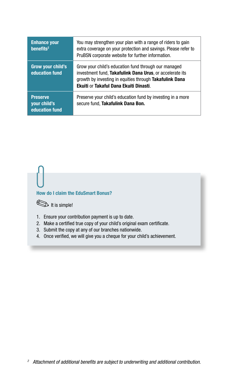| <b>Enhance your</b><br>benefits <sup>2</sup>      | You may strengthen your plan with a range of riders to gain<br>extra coverage on your protection and savings. Please refer to<br>PruBSN corporate website for further information.                                    |
|---------------------------------------------------|-----------------------------------------------------------------------------------------------------------------------------------------------------------------------------------------------------------------------|
| <b>Grow your child's</b><br>education fund        | Grow your child's education fund through our managed<br>investment fund, Takafulink Dana Urus, or accelerate its<br>growth by investing in equities through Takafulink Dana<br>Ekuiti or Takaful Dana Ekuiti Dinasti. |
| <b>Preserve</b><br>your child's<br>education fund | Preserve your child's education fund by investing in a more<br>secure fund, Takafulink Dana Bon.                                                                                                                      |

#### **How do I claim the EduSmart Bonus?**



- 1. Ensure your contribution payment is up to date.
- 2. Make a certified true copy of your child's original exam certificate.
- 3. Submit the copy at any of our branches nationwide.
- 4. Once verified, we will give you a cheque for your child's achievement.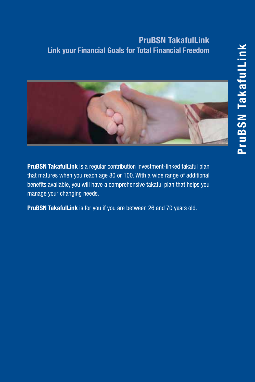## **PruBSN TakafulLink Link your Financial Goals for Total Financial Freedom**



**PruBSN TakafulLink** is a regular contribution investment-linked takaful plan that matures when you reach age 80 or 100. With a wide range of additional benefits available, you will have a comprehensive takaful plan that helps you manage your changing needs.

**PruBSN TakafulLink** is for you if you are between 26 and 70 years old.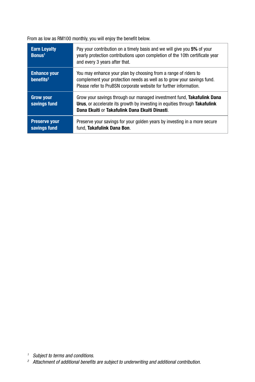From as low as RM100 monthly, you will enjoy the benefit below.

| <b>Earn Loyalty</b><br>B <b>onus</b> <sup>1</sup> | Pay your contribution on a timely basis and we will give you 5% of your<br>yearly protection contributions upon completion of the 10th certificate year<br>and every 3 years after that.                       |
|---------------------------------------------------|----------------------------------------------------------------------------------------------------------------------------------------------------------------------------------------------------------------|
| <b>Enhance your</b><br>benefits <sup>2</sup>      | You may enhance your plan by choosing from a range of riders to<br>complement your protection needs as well as to grow your savings fund.<br>Please refer to PruBSN corporate website for further information. |
| <b>Grow your</b><br>savings fund                  | Grow your savings through our managed investment fund. Takafulink Dana<br><b>Urus</b> , or accelerate its growth by investing in equities through Takafulink<br>Dana Ekuiti or Takafulink Dana Ekuiti Dinasti. |
| <b>Preserve your</b><br>savings fund              | Preserve your savings for your golden years by investing in a more secure<br>fund. Takafulink Dana Bon.                                                                                                        |

*<sup>1</sup> Subject to terms and conditions.*

*<sup>2</sup> Attachment of additional benefits are subject to underwriting and additional contribution.*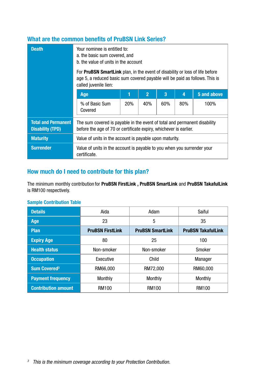### **What are the common benefits of PruBSN Link Series?**

| <b>Death</b>                                          | Your nominee is entitled to:<br>a, the basic sum covered, and<br>b. the value of units in the account<br>For <b>PruBSN SmartLink</b> plan, in the event of disability or loss of life before<br>age 5, a reduced basic sum covered payable will be paid as follows. This is<br>called juvenile lien: |            |                |     |                |             |
|-------------------------------------------------------|------------------------------------------------------------------------------------------------------------------------------------------------------------------------------------------------------------------------------------------------------------------------------------------------------|------------|----------------|-----|----------------|-------------|
|                                                       | Age                                                                                                                                                                                                                                                                                                  | ī          | $\overline{2}$ | 3   | $\overline{a}$ | 5 and above |
|                                                       | % of Basic Sum<br>Covered                                                                                                                                                                                                                                                                            | <b>20%</b> | 40%            | 60% | 80%            | 100%        |
| <b>Total and Permanent</b><br><b>Disability (TPD)</b> | The sum covered is payable in the event of total and permanent disability<br>before the age of 70 or certificate expiry, whichever is earlier.                                                                                                                                                       |            |                |     |                |             |
| <b>Maturity</b>                                       | Value of units in the account is payable upon maturity.                                                                                                                                                                                                                                              |            |                |     |                |             |
| <b>Surrender</b>                                      | Value of units in the account is payable to you when you surrender your<br>certificate.                                                                                                                                                                                                              |            |                |     |                |             |

#### **How much do I need to contribute for this plan?**

The minimum monthly contribution for **PruBSN FirstLink , PruBSN SmartLink** and **PruBSN TakafulLink** is RM100 respectively.

#### **Sample Contribution Table**

| <b>Details</b>                 | Aida                    | Adam                    | Saiful                    |  |
|--------------------------------|-------------------------|-------------------------|---------------------------|--|
| Age                            | 23                      | 5                       | 35                        |  |
| <b>Plan</b>                    | <b>PruBSN FirstLink</b> | <b>PruBSN SmartLink</b> | <b>PruBSN TakafulLink</b> |  |
| <b>Expiry Age</b>              | 80                      | 25                      | 100                       |  |
| <b>Health status</b>           | Non-smoker              | Non-smoker              | Smoker                    |  |
| <b>Occupation</b>              | Executive               | Child                   | Manager                   |  |
| <b>Sum Covered<sup>3</sup></b> | RM66.000                | RM72.000                | RM60.000                  |  |
| <b>Payment frequency</b>       | Monthly                 | Monthly                 | Monthly                   |  |
| <b>Contribution amount</b>     | RM100                   | RM100                   | RM100                     |  |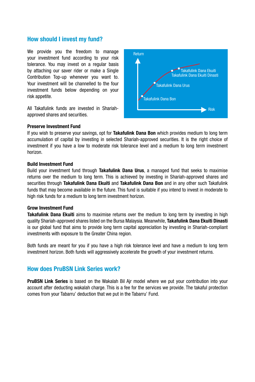#### **How should I invest my fund?**

We provide you the freedom to manage your investment fund according to your risk tolerance. You may invest on a regular basis by attaching our saver rider or make a Single Contribution Top-up whenever you want to. Your investment will be channelled to the four investment funds below depending on your risk appetite.

All Takafulink funds are invested in Shariahapproved shares and securities.



#### **Preserve Investment Fund**

If you wish to preserve your savings, opt for **Takafulink Dana Bon** which provides medium to long term accumulation of capital by investing in selected Shariah-approved securities. It is the right choice of investment if you have a low to moderate risk tolerance level and a medium to long term investment horizon.

#### **Build Investment Fund**

Build your investment fund through **Takafulink Dana Urus**, a managed fund that seeks to maximise returns over the medium to long term. This is achieved by investing in Shariah-approved shares and securities through **Takafulink Dana Ekuiti** and **Takafulink Dana Bon** and in any other such Takafulink funds that may become available in the future. This fund is suitable if you intend to invest in moderate to high risk funds for a medium to long term investment horizon.

#### **Grow Investment Fund**

**Takafulink Dana Ekuiti** aims to maximise returns over the medium to long term by investing in high quality Shariah-approved shares listed on the Bursa Malaysia. Meanwhile, **Takafulink Dana Ekuiti Dinasti** is our global fund that aims to provide long term capital appreciation by investing in Shariah-compliant investments with exposure to the Greater China region.

Both funds are meant for you if you have a high risk tolerance level and have a medium to long term investment horizon. Both funds will aggressively accelerate the growth of your investment returns.

#### **How does PruBSN Link Series work?**

**PruBSN Link Series** is based on the Wakalah Bil Ajr model where we put your contribution into your account after deducting wakalah charge. This is a fee for the services we provide. The takaful protection comes from your Tabarru' deduction that we put in the Tabarru' Fund.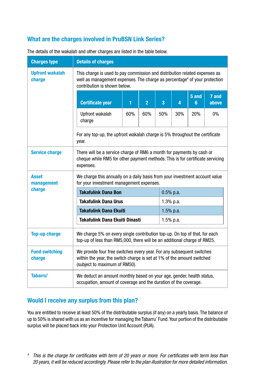### **What are the charges involved in PruBSN Link Series?**

| <b>Charges type</b>              | <b>Details of charges</b>                                                                                                                                                                           |     |                |     |             |            |                |  |
|----------------------------------|-----------------------------------------------------------------------------------------------------------------------------------------------------------------------------------------------------|-----|----------------|-----|-------------|------------|----------------|--|
| <b>Upfront wakalah</b><br>charge | This charge is used to pay commission and distribution related expenses as<br>well as management expenses. The charge as percentage <sup>4</sup> of your protection<br>contribution is shown below. |     |                |     |             |            |                |  |
|                                  | <b>Certificate year</b>                                                                                                                                                                             | 1   | $\overline{2}$ | 3   | 4           | 5 and<br>6 | 7 and<br>above |  |
|                                  | Upfront wakalah<br>charge                                                                                                                                                                           | 60% | 60%            | 50% | 30%         | 20%        | 0%             |  |
|                                  | For any top-up, the upfront wakalah charge is 5% throughout the certificate<br>year.                                                                                                                |     |                |     |             |            |                |  |
| <b>Service charge</b>            | There will be a service charge of RM6 a month for payments by cash or<br>cheque while RM5 for other payment methods. This is for certificate servicing<br>expenses.                                 |     |                |     |             |            |                |  |
| <b>Asset</b><br>management       | We charge this annually on a daily basis from your investment account value<br>for your investment management expenses.                                                                             |     |                |     |             |            |                |  |
| charge                           | <b>Takafulink Dana Bon</b>                                                                                                                                                                          |     |                |     | $0.5%$ p.a. |            |                |  |
|                                  | <b>Takafulink Dana Urus</b>                                                                                                                                                                         |     |                |     | $1.3%$ p.a. |            |                |  |
|                                  | <b>Takafulink Dana Ekuiti</b>                                                                                                                                                                       |     |                |     | $1.5%$ p.a. |            |                |  |
|                                  | Takafulink Dana Ekuiti Dinasti<br>$1.5%$ p.a.                                                                                                                                                       |     |                |     |             |            |                |  |
| <b>Top-up charge</b>             | We charge 5% on every single contribution top-up. On top of that, for each<br>top-up of less than RM5,000, there will be an additional charge of RM25.                                              |     |                |     |             |            |                |  |
| <b>Fund switching</b><br>charge  | We provide four free switches every year. For any subsequent switches<br>within the year, the switch charge is set at 1% of the amount switched<br>(subject to maximum of RM50).                    |     |                |     |             |            |                |  |
| Tabarru'                         | We deduct an amount monthly based on your age, gender, health status,<br>occupation, amount of coverage and the duration of the coverage.                                                           |     |                |     |             |            |                |  |

The details of the wakalah and other charges are listed in the table below.

### **Would I receive any surplus from this plan?**

You are entitled to receive at least 50% of the distributable surplus (if any) on a yearly basis. The balance of up to 50% is shared with us as an incentive for managing the Tabarru' Fund. Your portion of the distributable surplus will be placed back into your Protection Unit Account (PUA).

*<sup>4</sup> This is the charge for certificates with term of 20 years or more. For certificates with term less than 20 years, it will be reduced accordingly. Please refer to the plan illustration for more detailed information.*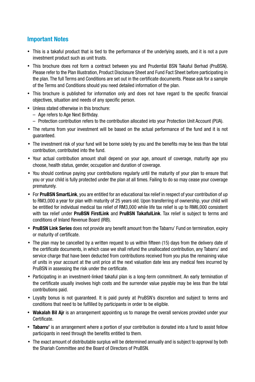#### **Important Notes**

- This is a takaful product that is tied to the performance of the underlying assets, and it is not a pure investment product such as unit trusts.
- • This brochure does not form a contract between you and Prudential BSN Takaful Berhad (PruBSN). Please refer to the Plan Illustration, Product Disclosure Sheet and Fund Fact Sheet before participating in the plan. The full Terms and Conditions are set out in the certificate documents. Please ask for a sample of the Terms and Conditions should you need detailed information of the plan.
- • This brochure is published for information only and does not have regard to the specific financial objectives, situation and needs of any specific person.
- • Unless stated otherwise in this brochure:
	- Age refers to Age Next Birthday.
	- Protection contribution refers to the contribution allocated into your Protection Unit Account (PUA).
- The returns from your investment will be based on the actual performance of the fund and it is not guaranteed.
- The investment risk of your fund will be borne solely by you and the benefits may be less than the total contribution, contributed into the fund.
- • Your actual contribution amount shall depend on your age, amount of coverage, maturity age you choose, health status, gender, occupation and duration of coverage.
- • You should continue paying your contributions regularly until the maturity of your plan to ensure that you or your child is fully protected under the plan at all times. Failing to do so may cease your coverage prematurely.
- • For **PruBSN SmartLink**, you are entitled for an educational tax relief in respect of your contribution of up to RM3,000 a year for plan with maturity of 25 years old. Upon transferring of ownership, your child will be entitled for individual medical tax relief of RM3,000 while life tax relief is up to RM6,000 consistent with tax relief under **PruBSN FirstLink** and **PruBSN TakafulLink**. Tax relief is subject to terms and conditions of Inland Revenue Board (IRB).
- • **PruBSN Link Series** does not provide any benefit amount from the Tabarru' Fund on termination, expiry or maturity of certificate.
- The plan may be cancelled by a written request to us within fifteen (15) days from the delivery date of the certificate documents, in which case we shall refund the unallocated contribution, any Tabarru' and service charge that have been deducted from contributions received from you plus the remaining value of units in your account at the unit price at the next valuation date less any medical fees incurred by PruBSN in assessing the risk under the certificate.
- • Participating in an investment-linked takaful plan is a long-term commitment. An early termination of the certificate usually involves high costs and the surrender value payable may be less than the total contributions paid.
- • Loyalty bonus is not guaranteed. It is paid purely at PruBSN's discretion and subject to terms and conditions that need to be fulfilled by participants in order to be eligible.
- • **Wakalah Bil Ajr** is an arrangement appointing us to manage the overall services provided under your Certificate.
- **Tabarru'** is an arrangement where a portion of your contribution is donated into a fund to assist fellow participants in need through the benefits entitled to them.
- The exact amount of distributable surplus will be determined annually and is subject to approval by both the Shariah Committee and the Board of Directors of PruBSN.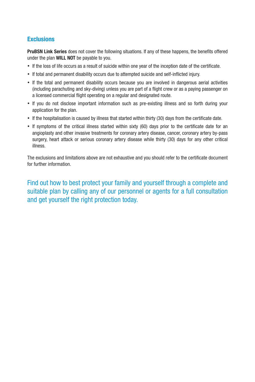#### **Exclusions**

**PruBSN Link Series** does not cover the following situations. If any of these happens, the benefits offered under the plan **WILL NOT** be payable to you.

- If the loss of life occurs as a result of suicide within one year of the inception date of the certificate.
- • If total and permanent disability occurs due to attempted suicide and self-inflicted injury.
- • If the total and permanent disability occurs because you are involved in dangerous aerial activities (including parachuting and sky-diving) unless you are part of a flight crew or as a paying passenger on a licensed commercial flight operating on a regular and designated route.
- If you do not disclose important information such as pre-existing illness and so forth during your application for the plan.
- If the hospitalisation is caused by illness that started within thirty (30) days from the certificate date.
- If symptoms of the critical illness started within sixty (60) days prior to the certificate date for an angioplasty and other invasive treatments for coronary artery disease, cancer, coronary artery by-pass surgery, heart attack or serious coronary artery disease while thirty (30) days for any other critical illness.

The exclusions and limitations above are not exhaustive and you should refer to the certificate document for further information.

Find out how to best protect your family and yourself through a complete and suitable plan by calling any of our personnel or agents for a full consultation and get yourself the right protection today.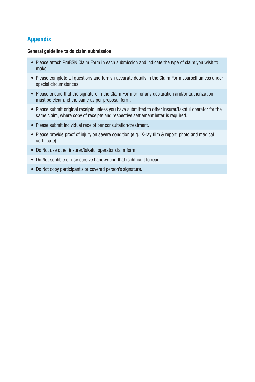#### **Appendix**

#### **General guideline to do claim submission**

- Please attach PruBSN Claim Form in each submission and indicate the type of claim you wish to make.
- Please complete all questions and furnish accurate details in the Claim Form yourself unless under special circumstances.
- Please ensure that the signature in the Claim Form or for any declaration and/or authorization must be clear and the same as per proposal form.
- Please submit original receipts unless you have submitted to other insurer/takaful operator for the same claim, where copy of receipts and respective settlement letter is required.
- Please submit individual receipt per consultation/treatment.
- Please provide proof of injury on severe condition (e.g. X-ray film & report, photo and medical certificate).
- Do Not use other insurer/takaful operator claim form.
- Do Not scribble or use cursive handwriting that is difficult to read.
- Do Not copy participant's or covered person's signature.